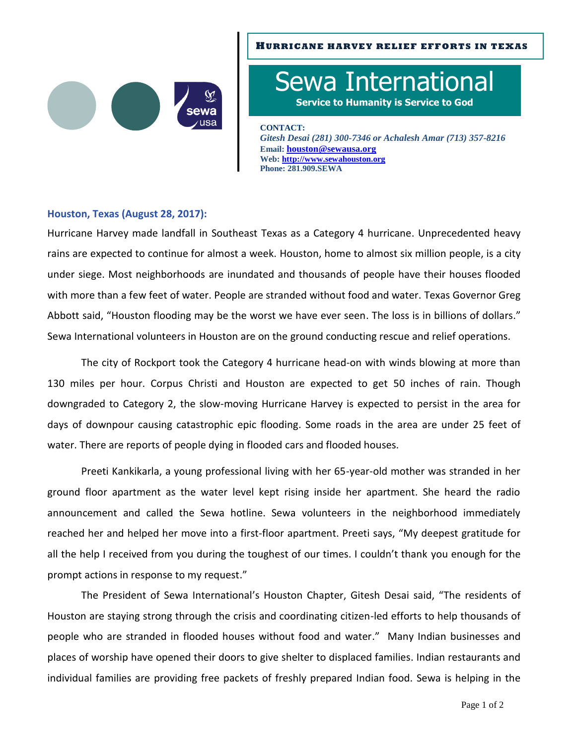

## **HURRICANE HARVEY RELIEF EFFORTS IN TEXAS**

Sewa International **Service to Humanity is Service to God**

**CONTACT:**

*Gitesh Desai (281) 300-7346 or Achalesh Amar (713) 357-8216* **Email: [houston@sewausa.org](mailto:houston@sewausa.org) Web: [http://www.sewahouston.org](http://www.sewahouston.org/) Phone: 281.909.SEWA**

## **Houston, Texas (August 28, 2017):**

Hurricane Harvey made landfall in Southeast Texas as a Category 4 hurricane. Unprecedented heavy rains are expected to continue for almost a week. Houston, home to almost six million people, is a city under siege. Most neighborhoods are inundated and thousands of people have their houses flooded with more than a few feet of water. People are stranded without food and water. Texas Governor Greg Abbott said, "Houston flooding may be the worst we have ever seen. The loss is in billions of dollars." Sewa International volunteers in Houston are on the ground conducting rescue and relief operations.

The city of Rockport took the Category 4 hurricane head-on with winds blowing at more than 130 miles per hour. Corpus Christi and Houston are expected to get 50 inches of rain. Though downgraded to Category 2, the slow-moving Hurricane Harvey is expected to persist in the area for days of downpour causing catastrophic epic flooding. Some roads in the area are under 25 feet of water. There are reports of people dying in flooded cars and flooded houses.

Preeti Kankikarla, a young professional living with her 65-year-old mother was stranded in her ground floor apartment as the water level kept rising inside her apartment. She heard the radio announcement and called the Sewa hotline. Sewa volunteers in the neighborhood immediately reached her and helped her move into a first-floor apartment. Preeti says, "My deepest gratitude for all the help I received from you during the toughest of our times. I couldn't thank you enough for the prompt actions in response to my request."

The President of Sewa International's Houston Chapter, Gitesh Desai said, "The residents of Houston are staying strong through the crisis and coordinating citizen-led efforts to help thousands of people who are stranded in flooded houses without food and water." Many Indian businesses and places of worship have opened their doors to give shelter to displaced families. Indian restaurants and individual families are providing free packets of freshly prepared Indian food. Sewa is helping in the